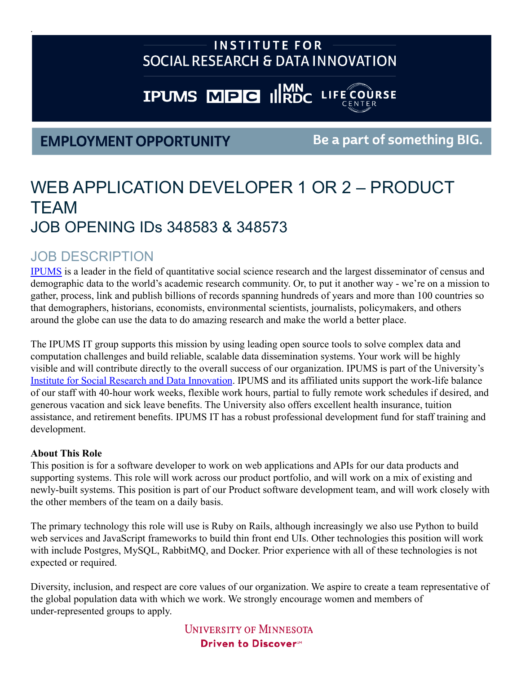## **INSTITUTE FOR** SOCIAL RESEARCH & DATA INNOVATION

# **IPUMS MPG ILIRDC LIFE COURSE**

## **EMPLOYMENT OPPORTUNITY**

Be a part of something BIG.

# WEB APPLICATION DEVELOPER 1 OR 2 – PRODUCT TEAM JOB OPENING IDs 348583 & 348573

## JOB DESCRIPTION

.

[IPUMS](https://ipums.org/) is a leader in the field of quantitative social science research and the largest disseminator of census and demographic data to the world's academic research community. Or, to put it another way - we're on a mission to gather, process, link and publish billions of records spanning hundreds of years and more than 100 countries so that demographers, historians, economists, environmental scientists, journalists, policymakers, and others around the globe can use the data to do amazing research and make the world a better place.

The IPUMS IT group supports this mission by using leading open source tools to solve complex data and computation challenges and build reliable, scalable data dissemination systems. Your work will be highly visible and will contribute directly to the overall success of our organization. IPUMS is part of the University's [Institute for Social Research and Data Innovation](https://isrdi.umn.edu). IPUMS and its affiliated units support the work-life balance of our staff with 40-hour work weeks, flexible work hours, partial to fully remote work schedules if desired, and generous vacation and sick leave benefits. The University also offers excellent health insurance, tuition assistance, and retirement benefits. IPUMS IT has a robust professional development fund for staff training and development.

#### **About This Role**

This position is for a software developer to work on web applications and APIs for our data products and supporting systems. This role will work across our product portfolio, and will work on a mix of existing and newly-built systems. This position is part of our Product software development team, and will work closely with the other members of the team on a daily basis.

The primary technology this role will use is Ruby on Rails, although increasingly we also use Python to build web services and JavaScript frameworks to build thin front end UIs. Other technologies this position will work with include Postgres, MySQL, RabbitMQ, and Docker. Prior experience with all of these technologies is not expected or required.

Diversity, inclusion, and respect are core values of our organization. We aspire to create a team representative of the global population data with which we work. We strongly encourage women and members of under-represented groups to apply.

> **UNIVERSITY OF MINNESOTA** Driven to Discover<sup>54</sup>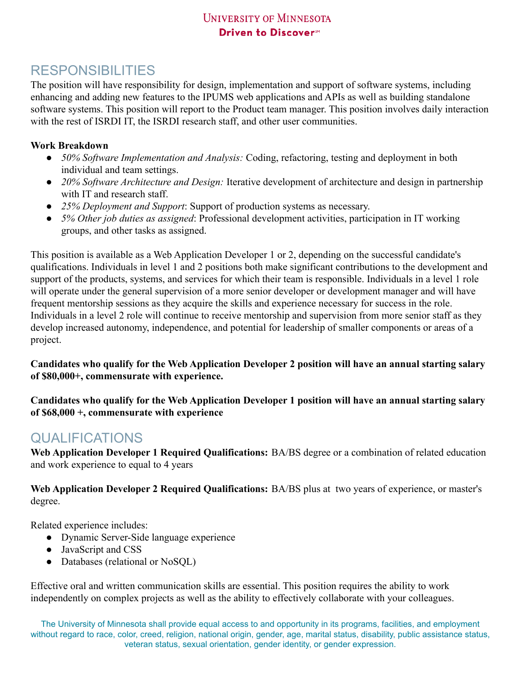### **UNIVERSITY OF MINNESOTA** Driven to Discover<sup>54</sup>

## RESPONSIBILITIES

The position will have responsibility for design, implementation and support of software systems, including enhancing and adding new features to the IPUMS web applications and APIs as well as building standalone software systems. This position will report to the Product team manager. This position involves daily interaction with the rest of ISRDI IT, the ISRDI research staff, and other user communities.

#### **Work Breakdown**

- 50% Software Implementation and Analysis: Coding, refactoring, testing and deployment in both individual and team settings.
- *20% Software Architecture and Design:* Iterative development of architecture and design in partnership with IT and research staff.
- *25% Deployment and Support*: Support of production systems as necessary.
- *5% Other job duties as assigned*: Professional development activities, participation in IT working groups, and other tasks as assigned.

This position is available as a Web Application Developer 1 or 2, depending on the successful candidate's qualifications. Individuals in level 1 and 2 positions both make significant contributions to the development and support of the products, systems, and services for which their team is responsible. Individuals in a level 1 role will operate under the general supervision of a more senior developer or development manager and will have frequent mentorship sessions as they acquire the skills and experience necessary for success in the role. Individuals in a level 2 role will continue to receive mentorship and supervision from more senior staff as they develop increased autonomy, independence, and potential for leadership of smaller components or areas of a project.

**Candidates who qualify for the Web Application Developer 2 position will have an annual starting salary of \$80,000+, commensurate with experience.**

**Candidates who qualify for the Web Application Developer 1 position will have an annual starting salary of \$68,000 +, commensurate with experience**

## QUALIFICATIONS

**Web Application Developer 1 Required Qualifications:** BA/BS degree or a combination of related education and work experience to equal to 4 years

**Web Application Developer 2 Required Qualifications:** BA/BS plus at two years of experience, or master's degree.

Related experience includes:

- Dynamic Server-Side language experience
- JavaScript and CSS
- Databases (relational or NoSQL)

Effective oral and written communication skills are essential. This position requires the ability to work independently on complex projects as well as the ability to effectively collaborate with your colleagues.

The University of Minnesota shall provide equal access to and opportunity in its programs, facilities, and employment without regard to race, color, creed, religion, national origin, gender, age, marital status, disability, public assistance status, veteran status, sexual orientation, gender identity, or gender expression.